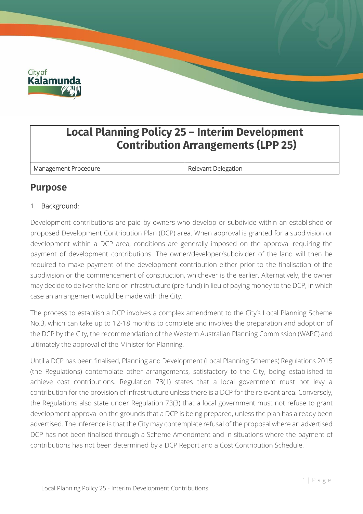

# **Local Planning Policy 25 – Interim Development Contribution Arrangements (LPP 25)**

Management Procedure **Relevant Delegation** 

# **Purpose**

# 1. Background:

Development contributions are paid by owners who develop or subdivide within an established or proposed Development Contribution Plan (DCP) area. When approval is granted for a subdivision or development within a DCP area, conditions are generally imposed on the approval requiring the payment of development contributions. The owner/developer/subdivider of the land will then be required to make payment of the development contribution either prior to the finalisation of the subdivision or the commencement of construction, whichever is the earlier. Alternatively, the owner may decide to deliver the land or infrastructure (pre-fund) in lieu of paying money to the DCP, in which case an arrangement would be made with the City.

The process to establish a DCP involves a complex amendment to the City's Local Planning Scheme No.3, which can take up to 12-18 months to complete and involves the preparation and adoption of the DCP by the City, the recommendation of the Western Australian Planning Commission (WAPC) and ultimately the approval of the Minister for Planning.

Until a DCP has been finalised, Planning and Development (Local Planning Schemes) Regulations 2015 (the Regulations) contemplate other arrangements, satisfactory to the City, being established to achieve cost contributions. Regulation 73(1) states that a local government must not levy a contribution for the provision of infrastructure unless there is a DCP for the relevant area. Conversely, the Regulations also state under Regulation 73(3) that a local government must not refuse to grant development approval on the grounds that a DCP is being prepared, unless the plan has already been advertised. The inference is that the City may contemplate refusal of the proposal where an advertised DCP has not been finalised through a Scheme Amendment and in situations where the payment of contributions has not been determined by a DCP Report and a Cost Contribution Schedule.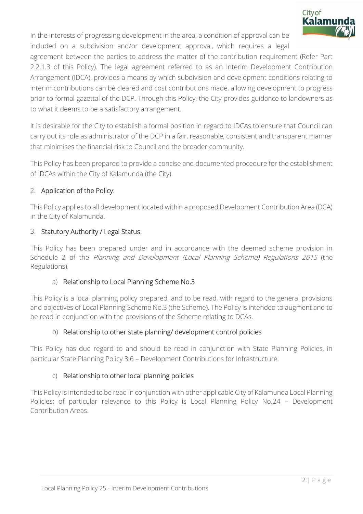

In the interests of progressing development in the area, a condition of approval can be included on a subdivision and/or development approval, which requires a legal

agreement between the parties to address the matter of the contribution requirement (Refer Part 2.2.1.3 of this Policy). The legal agreement referred to as an Interim Development Contribution Arrangement (IDCA), provides a means by which subdivision and development conditions relating to interim contributions can be cleared and cost contributions made, allowing development to progress prior to formal gazettal of the DCP. Through this Policy, the City provides guidance to landowners as to what it deems to be a satisfactory arrangement.

It is desirable for the City to establish a formal position in regard to IDCAs to ensure that Council can carry out its role as administrator of the DCP in a fair, reasonable, consistent and transparent manner that minimises the financial risk to Council and the broader community.

This Policy has been prepared to provide a concise and documented procedure for the establishment of IDCAs within the City of Kalamunda (the City).

### 2. Application of the Policy:

This Policy applies to all development located within a proposed Development Contribution Area (DCA) in the City of Kalamunda.

#### 3. Statutory Authority / Legal Status:

This Policy has been prepared under and in accordance with the deemed scheme provision in Schedule 2 of the Planning and Development (Local Planning Scheme) Regulations 2015 (the Regulations).

# a) Relationship to Local Planning Scheme No.3

This Policy is a local planning policy prepared, and to be read, with regard to the general provisions and objectives of Local Planning Scheme No.3 (the Scheme). The Policy is intended to augment and to be read in conjunction with the provisions of the Scheme relating to DCAs.

# b) Relationship to other state planning/ development control policies

This Policy has due regard to and should be read in conjunction with State Planning Policies, in particular State Planning Policy 3.6 – Development Contributions for Infrastructure.

#### c) Relationship to other local planning policies

This Policy is intended to be read in conjunction with other applicable City of Kalamunda Local Planning Policies; of particular relevance to this Policy is Local Planning Policy No.24 – Development Contribution Areas.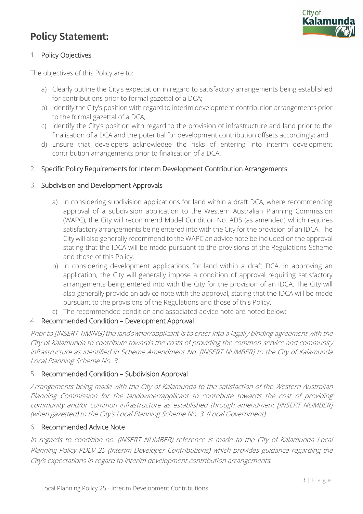# **Policy Statement:**



#### 1. Policy Objectives

The objectives of this Policy are to:

- a) Clearly outline the City's expectation in regard to satisfactory arrangements being established for contributions prior to formal gazettal of a DCA;
- b) Identify the City's position with regard to interim development contribution arrangements prior to the formal gazettal of a DCA;
- c) Identify the City's position with regard to the provision of infrastructure and land prior to the finalisation of a DCA and the potential for development contribution offsets accordingly; and
- d) Ensure that developers acknowledge the risks of entering into interim development contribution arrangements prior to finalisation of a DCA.

#### 2. Specific Policy Requirements for Interim Development Contribution Arrangements

#### 3. Subdivision and Development Approvals

- a) In considering subdivision applications for land within a draft DCA, where recommencing approval of a subdivision application to the Western Australian Planning Commission (WAPC), the City will recommend Model Condition No. AD5 (as amended) which requires satisfactory arrangements being entered into with the City for the provision of an IDCA. The City will also generally recommend to the WAPC an advice note be included on the approval stating that the IDCA will be made pursuant to the provisions of the Regulations Scheme and those of this Policy.
- b) In considering development applications for land within a draft DCA, in approving an application, the City will generally impose a condition of approval requiring satisfactory arrangements being entered into with the City for the provision of an IDCA. The City will also generally provide an advice note with the approval, stating that the IDCA will be made pursuant to the provisions of the Regulations and those of this Policy.
- c) The recommended condition and associated advice note are noted below:

#### 4. Recommended Condition – Development Approval

Prior to [INSERT TIMING] the landowner/applicant is to enter into a legally binding agreement with the City of Kalamunda to contribute towards the costs of providing the common service and community infrastructure as identified in Scheme Amendment No. [INSERT NUMBER] to the City of Kalamunda Local Planning Scheme No. 3.

#### 5. Recommended Condition – Subdivision Approval

Arrangements being made with the City of Kalamunda to the satisfaction of the Western Australian Planning Commission for the landowner/applicant to contribute towards the cost of providing community and/or common infrastructure as established through amendment [INSERT NUMBER] (when gazetted) to the City's Local Planning Scheme No. 3. (Local Government).

#### 6. Recommended Advice Note

In regards to condition no. (INSERT NUMBER) reference is made to the City of Kalamunda Local Planning Policy PDEV 25 (Interim Developer Contributions) which provides guidance regarding the City's expectations in regard to interim development contribution arrangements.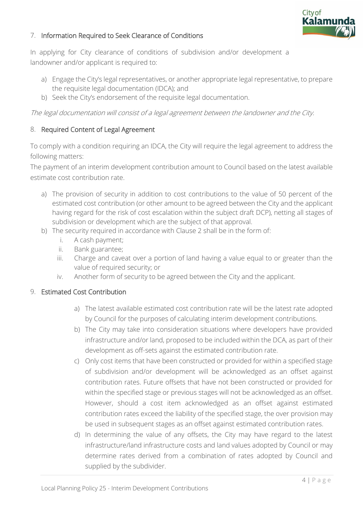

#### 7. Information Required to Seek Clearance of Conditions

In applying for City clearance of conditions of subdivision and/or development a landowner and/or applicant is required to:

- a) Engage the City's legal representatives, or another appropriate legal representative, to prepare the requisite legal documentation (IDCA); and
- b) Seek the City's endorsement of the requisite legal documentation.

The legal documentation will consist of a legal agreement between the landowner and the City.

#### 8. Required Content of Legal Agreement

To comply with a condition requiring an IDCA, the City will require the legal agreement to address the following matters:

The payment of an interim development contribution amount to Council based on the latest available estimate cost contribution rate.

- a) The provision of security in addition to cost contributions to the value of 50 percent of the estimated cost contribution (or other amount to be agreed between the City and the applicant having regard for the risk of cost escalation within the subject draft DCP), netting all stages of subdivision or development which are the subject of that approval.
- b) The security required in accordance with Clause 2 shall be in the form of:
	- i. A cash payment;
	- ii. Bank guarantee;
	- iii. Charge and caveat over a portion of land having a value equal to or greater than the value of required security; or
	- iv. Another form of security to be agreed between the City and the applicant.

#### 9. Estimated Cost Contribution

- a) The latest available estimated cost contribution rate will be the latest rate adopted by Council for the purposes of calculating interim development contributions.
- b) The City may take into consideration situations where developers have provided infrastructure and/or land, proposed to be included within the DCA, as part of their development as off-sets against the estimated contribution rate.
- c) Only cost items that have been constructed or provided for within a specified stage of subdivision and/or development will be acknowledged as an offset against contribution rates. Future offsets that have not been constructed or provided for within the specified stage or previous stages will not be acknowledged as an offset. However, should a cost item acknowledged as an offset against estimated contribution rates exceed the liability of the specified stage, the over provision may be used in subsequent stages as an offset against estimated contribution rates.
- d) In determining the value of any offsets, the City may have regard to the latest infrastructure/land infrastructure costs and land values adopted by Council or may determine rates derived from a combination of rates adopted by Council and supplied by the subdivider.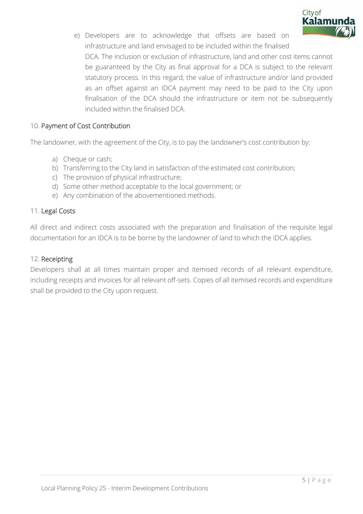

e) Developers are to acknowledge that offsets are based on infrastructure and land envisaged to be included within the finalised DCA. The inclusion or exclusion of infrastructure, land and other cost items cannot be guaranteed by the City as final approval for a DCA is subject to the relevant statutory process. In this regard, the value of infrastructure and/or land provided as an offset against an IDCA payment may need to be paid to the City upon finalisation of the DCA should the infrastructure or item not be subsequently included within the finalised DCA.

#### 10. Payment of Cost Contribution

The landowner, with the agreement of the City, is to pay the landowner's cost contribution by:

- a) Cheque or cash;
- b) Transferring to the City land in satisfaction of the estimated cost contribution;
- c) The provision of physical infrastructure;
- d) Some other method acceptable to the local government; or
- e) Any combination of the abovementioned methods.

#### 11. Legal Costs

All direct and indirect costs associated with the preparation and finalisation of the requisite legal documentation for an IDCA is to be borne by the landowner of land to which the IDCA applies.

#### 12. Receipting

Developers shall at all times maintain proper and itemised records of all relevant expenditure, including receipts and invoices for all relevant off-sets. Copies of all itemised records and expenditure shall be provided to the City upon request.